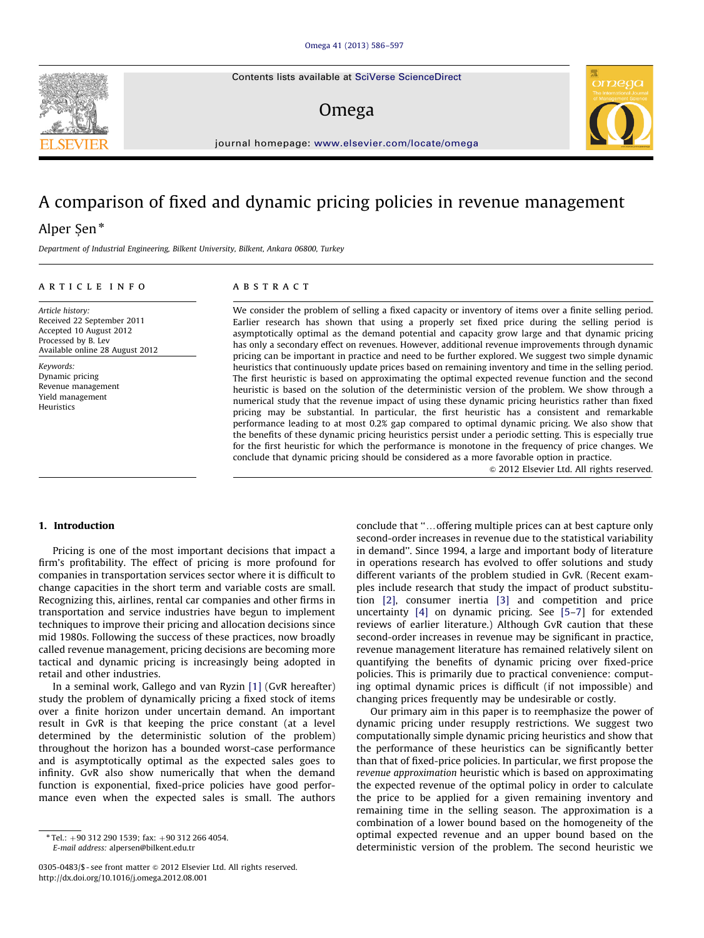Contents lists available at [SciVerse ScienceDirect](www.elsevier.com/locate/omega)

## Omega



journal homepage: <www.elsevier.com/locate/omega>

## A comparison of fixed and dynamic pricing policies in revenue management

### Alper Şen\*

Department of Industrial Engineering, Bilkent University, Bilkent, Ankara 06800, Turkey

#### article info

Article history: Received 22 September 2011 Accepted 10 August 2012 Processed by B. Lev Available online 28 August 2012

Keywords: Dynamic pricing Revenue management Yield management Heuristics

#### **ABSTRACT**

We consider the problem of selling a fixed capacity or inventory of items over a finite selling period. Earlier research has shown that using a properly set fixed price during the selling period is asymptotically optimal as the demand potential and capacity grow large and that dynamic pricing has only a secondary effect on revenues. However, additional revenue improvements through dynamic pricing can be important in practice and need to be further explored. We suggest two simple dynamic heuristics that continuously update prices based on remaining inventory and time in the selling period. The first heuristic is based on approximating the optimal expected revenue function and the second heuristic is based on the solution of the deterministic version of the problem. We show through a numerical study that the revenue impact of using these dynamic pricing heuristics rather than fixed pricing may be substantial. In particular, the first heuristic has a consistent and remarkable performance leading to at most 0.2% gap compared to optimal dynamic pricing. We also show that the benefits of these dynamic pricing heuristics persist under a periodic setting. This is especially true for the first heuristic for which the performance is monotone in the frequency of price changes. We conclude that dynamic pricing should be considered as a more favorable option in practice.

 $\odot$  2012 Elsevier Ltd. All rights reserved.

#### 1. Introduction

Pricing is one of the most important decisions that impact a firm's profitability. The effect of pricing is more profound for companies in transportation services sector where it is difficult to change capacities in the short term and variable costs are small. Recognizing this, airlines, rental car companies and other firms in transportation and service industries have begun to implement techniques to improve their pricing and allocation decisions since mid 1980s. Following the success of these practices, now broadly called revenue management, pricing decisions are becoming more tactical and dynamic pricing is increasingly being adopted in retail and other industries.

In a seminal work, Gallego and van Ryzin [\[1\]](#page--1-0) (GvR hereafter) study the problem of dynamically pricing a fixed stock of items over a finite horizon under uncertain demand. An important result in GvR is that keeping the price constant (at a level determined by the deterministic solution of the problem) throughout the horizon has a bounded worst-case performance and is asymptotically optimal as the expected sales goes to infinity. GvR also show numerically that when the demand function is exponential, fixed-price policies have good performance even when the expected sales is small. The authors conclude that "...offering multiple prices can at best capture only second-order increases in revenue due to the statistical variability in demand''. Since 1994, a large and important body of literature in operations research has evolved to offer solutions and study different variants of the problem studied in GvR. (Recent examples include research that study the impact of product substitution [\[2\],](#page--1-0) consumer inertia [\[3\]](#page--1-0) and competition and price uncertainty [\[4\]](#page--1-0) on dynamic pricing. See [\[5–7](#page--1-0)] for extended reviews of earlier literature.) Although GvR caution that these second-order increases in revenue may be significant in practice, revenue management literature has remained relatively silent on quantifying the benefits of dynamic pricing over fixed-price policies. This is primarily due to practical convenience: computing optimal dynamic prices is difficult (if not impossible) and changing prices frequently may be undesirable or costly.

Our primary aim in this paper is to reemphasize the power of dynamic pricing under resupply restrictions. We suggest two computationally simple dynamic pricing heuristics and show that the performance of these heuristics can be significantly better than that of fixed-price policies. In particular, we first propose the revenue approximation heuristic which is based on approximating the expected revenue of the optimal policy in order to calculate the price to be applied for a given remaining inventory and remaining time in the selling season. The approximation is a combination of a lower bound based on the homogeneity of the optimal expected revenue and an upper bound based on the deterministic version of the problem. The second heuristic we

 $*$  Tel.: +90 312 290 1539; fax: +90 312 266 4054. E-mail address: [alpersen@bilkent.edu.tr](mailto:alpersen@bilkent.edu.tr)

<sup>0305-0483/\$ -</sup> see front matter @ 2012 Elsevier Ltd. All rights reserved. [http://dx.doi.org/10.1016/j.omega.2012.08.001](dx.doi.org/10.1016/j.omega.2012.08.001)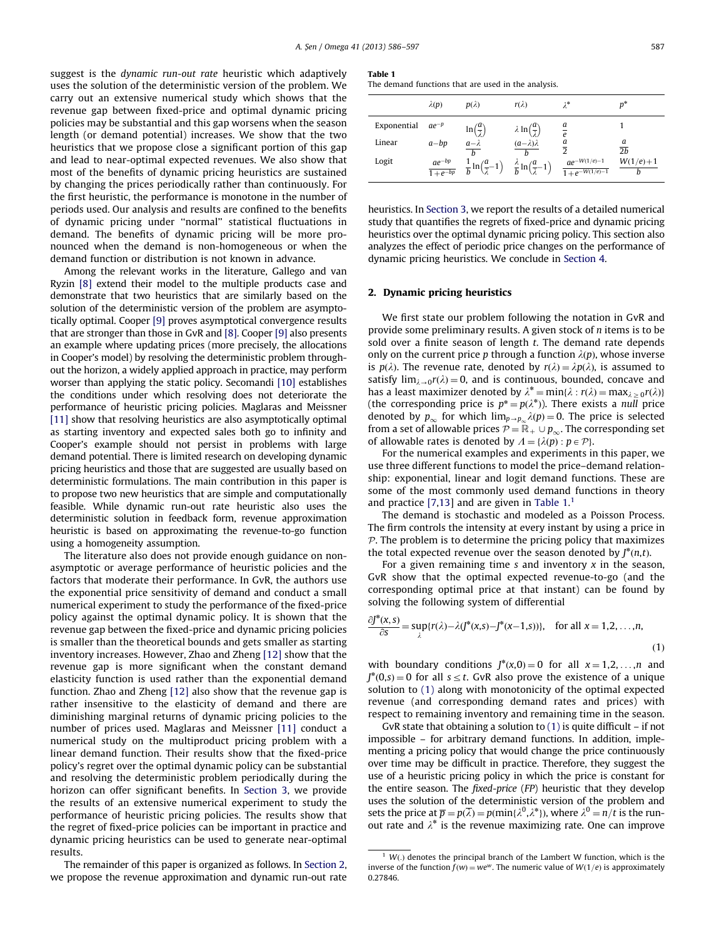suggest is the dynamic run-out rate heuristic which adaptively uses the solution of the deterministic version of the problem. We carry out an extensive numerical study which shows that the revenue gap between fixed-price and optimal dynamic pricing policies may be substantial and this gap worsens when the season length (or demand potential) increases. We show that the two heuristics that we propose close a significant portion of this gap and lead to near-optimal expected revenues. We also show that most of the benefits of dynamic pricing heuristics are sustained by changing the prices periodically rather than continuously. For the first heuristic, the performance is monotone in the number of periods used. Our analysis and results are confined to the benefits of dynamic pricing under ''normal'' statistical fluctuations in demand. The benefits of dynamic pricing will be more pronounced when the demand is non-homogeneous or when the demand function or distribution is not known in advance.

Among the relevant works in the literature, Gallego and van Ryzin [\[8\]](#page--1-0) extend their model to the multiple products case and demonstrate that two heuristics that are similarly based on the solution of the deterministic version of the problem are asymptotically optimal. Cooper [\[9\]](#page--1-0) proves asymptotical convergence results that are stronger than those in GvR and [\[8\].](#page--1-0) Cooper [\[9\]](#page--1-0) also presents an example where updating prices (more precisely, the allocations in Cooper's model) by resolving the deterministic problem throughout the horizon, a widely applied approach in practice, may perform worser than applying the static policy. Secomandi [\[10\]](#page--1-0) establishes the conditions under which resolving does not deteriorate the performance of heuristic pricing policies. Maglaras and Meissner [\[11\]](#page--1-0) show that resolving heuristics are also asymptotically optimal as starting inventory and expected sales both go to infinity and Cooper's example should not persist in problems with large demand potential. There is limited research on developing dynamic pricing heuristics and those that are suggested are usually based on deterministic formulations. The main contribution in this paper is to propose two new heuristics that are simple and computationally feasible. While dynamic run-out rate heuristic also uses the deterministic solution in feedback form, revenue approximation heuristic is based on approximating the revenue-to-go function using a homogeneity assumption.

The literature also does not provide enough guidance on nonasymptotic or average performance of heuristic policies and the factors that moderate their performance. In GvR, the authors use the exponential price sensitivity of demand and conduct a small numerical experiment to study the performance of the fixed-price policy against the optimal dynamic policy. It is shown that the revenue gap between the fixed-price and dynamic pricing policies is smaller than the theoretical bounds and gets smaller as starting inventory increases. However, Zhao and Zheng [\[12\]](#page--1-0) show that the revenue gap is more significant when the constant demand elasticity function is used rather than the exponential demand function. Zhao and Zheng [\[12\]](#page--1-0) also show that the revenue gap is rather insensitive to the elasticity of demand and there are diminishing marginal returns of dynamic pricing policies to the number of prices used. Maglaras and Meissner [\[11\]](#page--1-0) conduct a numerical study on the multiproduct pricing problem with a linear demand function. Their results show that the fixed-price policy's regret over the optimal dynamic policy can be substantial and resolving the deterministic problem periodically during the horizon can offer significant benefits. In [Section 3](#page--1-0), we provide the results of an extensive numerical experiment to study the performance of heuristic pricing policies. The results show that the regret of fixed-price policies can be important in practice and dynamic pricing heuristics can be used to generate near-optimal results.

The remainder of this paper is organized as follows. In Section 2, we propose the revenue approximation and dynamic run-out rate

#### Table 1

| The demand functions that are used in the analysis. |  |
|-----------------------------------------------------|--|
|-----------------------------------------------------|--|

|             | $\lambda(p)$ | $p(\lambda)$                                                                     | $r(\lambda)$                                              | $\lambda^*$                                     | $p^*$           |
|-------------|--------------|----------------------------------------------------------------------------------|-----------------------------------------------------------|-------------------------------------------------|-----------------|
| Exponential | $ae^{-p}$    | $\ln\left(\frac{a}{2}\right)$                                                    | $\lambda \ln\left(\frac{a}{1}\right)$                     | $\frac{a}{e}$                                   |                 |
| Linear      | $a-bp$       | $a-\lambda$                                                                      | $(a-\lambda)\lambda$                                      | $\frac{a}{2}$                                   | $\overline{2h}$ |
| Logit       | $a e^{-b p}$ | $\frac{ae^{-\nu p}}{1+e^{-bp}}$ $\frac{1}{b}\ln\left(\frac{a}{\lambda}-1\right)$ | $\frac{\lambda}{b} \ln\left(\frac{a}{\lambda} - 1\right)$ | $ae^{-W(1/e)-1}$<br>$\frac{1}{1+e^{-W(1/e)-1}}$ | $W(1/e)+1$      |

heuristics. In [Section 3](#page--1-0), we report the results of a detailed numerical study that quantifies the regrets of fixed-price and dynamic pricing heuristics over the optimal dynamic pricing policy. This section also analyzes the effect of periodic price changes on the performance of dynamic pricing heuristics. We conclude in [Section 4.](#page--1-0)

#### 2. Dynamic pricing heuristics

We first state our problem following the notation in GvR and provide some preliminary results. A given stock of n items is to be sold over a finite season of length t. The demand rate depends only on the current price p through a function  $\lambda(p)$ , whose inverse is  $p(\lambda)$ . The revenue rate, denoted by  $r(\lambda) = \lambda p(\lambda)$ , is assumed to satisfy  $\lim_{\lambda\to 0}r(\lambda)=0$ , and is continuous, bounded, concave and has a least maximizer denoted by  $\lambda^* = \min{\{\lambda : r(\lambda) = \max_{\lambda > 0} r(\lambda)\}}$ (the corresponding price is  $p^* = p(\lambda^*)$ ). There exists a null price denoted by  $p_{\infty}$  for which  $\lim_{p\to p_{\infty}} \lambda(p) = 0$ . The price is selected from a set of allowable prices  $P = \mathbb{R}_+ \cup p_{\infty}$ . The corresponding set of allowable rates is denoted by  $\Lambda = {\lambda(p) : p \in \mathcal{P}}$ .

For the numerical examples and experiments in this paper, we use three different functions to model the price–demand relationship: exponential, linear and logit demand functions. These are some of the most commonly used demand functions in theory and practice  $[7,13]$  $[7,13]$  and are given in Table  $1<sup>1</sup>$ 

The demand is stochastic and modeled as a Poisson Process. The firm controls the intensity at every instant by using a price in  $P$ . The problem is to determine the pricing policy that maximizes the total expected revenue over the season denoted by  $J^*(n,t)$ .

For a given remaining time  $s$  and inventory  $x$  in the season, GvR show that the optimal expected revenue-to-go (and the corresponding optimal price at that instant) can be found by solving the following system of differential

$$
\frac{\partial J^*(x,s)}{\partial s} = \sup_{\lambda} \{r(\lambda) - \lambda (J^*(x,s) - J^*(x-1,s))\}, \quad \text{for all } x = 1, 2, \dots, n,
$$
\n(1)

with boundary conditions  $J^*(x,0) = 0$  for all  $x = 1,2,...,n$  and  $J^*(0,s) = 0$  for all  $s \leq t$ . GvR also prove the existence of a unique solution to (1) along with monotonicity of the optimal expected revenue (and corresponding demand rates and prices) with respect to remaining inventory and remaining time in the season.

GvR state that obtaining a solution to  $(1)$  is quite difficult – if not impossible – for arbitrary demand functions. In addition, implementing a pricing policy that would change the price continuously over time may be difficult in practice. Therefore, they suggest the use of a heuristic pricing policy in which the price is constant for the entire season. The fixed-price (FP) heuristic that they develop uses the solution of the deterministic version of the problem and sets the price at  $\overline{p} = p(\overline{\lambda}) = p(\min{\{\lambda^0, \lambda^*\}})$ , where  $\lambda^0 = n/t$  is the runout rate and  $\lambda^*$  is the revenue maximizing rate. One can improve

 $W(.)$  denotes the principal branch of the Lambert W function, which is the inverse of the function  $f(w) = we^w$ . The numeric value of  $W(1/e)$  is approximately 0.27846.